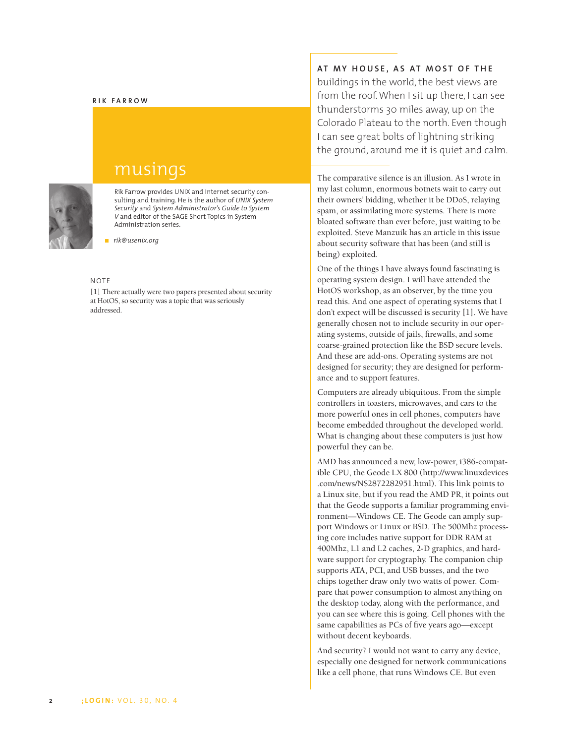#### **RIK FARROW**



# musings

Rik Farrow provides UNIX and Internet security consulting and training. He is the author of *UNIX System Security* and *System Administrator's Guide to System V* and editor of the SAGE Short Topics in System Administration series.

*rik@usenix.org*

#### $N$ OTE

[1] There actually were two papers presented about security at HotOS, so security was a topic that was seriously addressed.

## **AT MY HOUSE, AS AT MOST OF THE**

buildings in the world, the best views are from the roof. When I sit up there, I can see thunderstorms 30 miles away, up on the Colorado Plateau to the north. Even though I can see great bolts of lightning striking the ground, around me it is quiet and calm.

The comparative silence is an illusion. As I wrote in my last column, enormous botnets wait to carry out their owners' bidding, whether it be DDoS, relaying spam, or assimilating more systems. There is more bloated software than ever before, just waiting to be exploited. Steve Manzuik has an article in this issue about security software that has been (and still is being) exploited.

One of the things I have always found fascinating is operating system design. I will have attended the HotOS workshop, as an observer, by the time you read this. And one aspect of operating systems that I don't expect will be discussed is security [1]. We have generally chosen not to include security in our operating systems, outside of jails, firewalls, and some coarse-grained protection like the BSD secure levels. And these are add-ons. Operating systems are not designed for security; they are designed for performance and to support features.

Computers are already ubiquitous. From the simple controllers in toasters, microwaves, and cars to the more powerful ones in cell phones, computers have become embedded throughout the developed world. What is changing about these computers is just how powerful they can be.

AMD has announced a new, low-power, i386-compatible CPU, the Geode LX 800 (http://www.linuxdevices .com/news/NS2872282951.html). This link points to a Linux site, but if you read the AMD PR, it points out that the Geode supports a familiar programming environment—Windows CE. The Geode can amply support Windows or Linux or BSD. The 500Mhz processing core includes native support for DDR RAM at 400Mhz, L1 and L2 caches, 2-D graphics, and hardware support for cryptography. The companion chip supports ATA, PCI, and USB busses, and the two chips together draw only two watts of power. Compare that power consumption to almost anything on the desktop today, along with the performance, and you can see where this is going. Cell phones with the same capabilities as PCs of five years ago—except without decent keyboards.

And security? I would not want to carry any device, especially one designed for network communications like a cell phone, that runs Windows CE. But even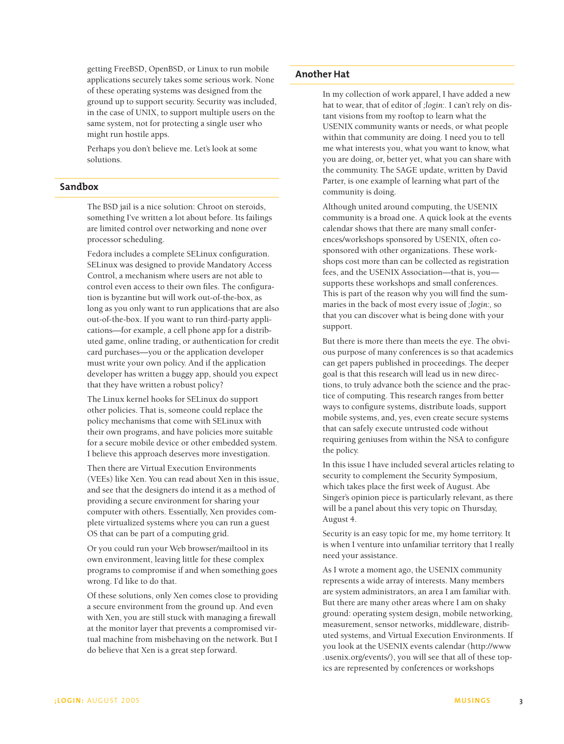getting FreeBSD, OpenBSD, or Linux to run mobile applications securely takes some serious work. None of these operating systems was designed from the ground up to support security. Security was included, in the case of UNIX, to support multiple users on the same system, not for protecting a single user who might run hostile apps.

Perhaps you don't believe me. Let's look at some solutions.

### **Sandbox**

The BSD jail is a nice solution: Chroot on steroids, something I've written a lot about before. Its failings are limited control over networking and none over processor scheduling.

Fedora includes a complete SELinux configuration. SELinux was designed to provide Mandatory Access Control, a mechanism where users are not able to control even access to their own files. The configuration is byzantine but will work out-of-the-box, as long as you only want to run applications that are also out-of-the-box. If you want to run third-party applications—for example, a cell phone app for a distributed game, online trading, or authentication for credit card purchases—you or the application developer must write your own policy. And if the application developer has written a buggy app, should you expect that they have written a robust policy?

The Linux kernel hooks for SELinux do support other policies. That is, someone could replace the policy mechanisms that come with SELinux with their own programs, and have policies more suitable for a secure mobile device or other embedded system. I believe this approach deserves more investigation.

Then there are Virtual Execution Environments (VEEs) like Xen. You can read about Xen in this issue, and see that the designers do intend it as a method of providing a secure environment for sharing your computer with others. Essentially, Xen provides complete virtualized systems where you can run a guest OS that can be part of a computing grid.

Or you could run your Web browser/mailtool in its own environment, leaving little for these complex programs to compromise if and when something goes wrong. I'd like to do that.

Of these solutions, only Xen comes close to providing a secure environment from the ground up. And even with Xen, you are still stuck with managing a firewall at the monitor layer that prevents a compromised virtual machine from misbehaving on the network. But I do believe that Xen is a great step forward.

### **Another Hat**

In my collection of work apparel, I have added a new hat to wear, that of editor of *;login:.* I can't rely on distant visions from my rooftop to learn what the USENIX community wants or needs, or what people within that community are doing. I need you to tell me what interests you, what you want to know, what you are doing, or, better yet, what you can share with the community. The SAGE update, written by David Parter, is one example of learning what part of the community is doing.

Although united around computing, the USENIX community is a broad one. A quick look at the events calendar shows that there are many small conferences/workshops sponsored by USENIX, often cosponsored with other organizations. These workshops cost more than can be collected as registration fees, and the USENIX Association—that is, you supports these workshops and small conferences. This is part of the reason why you will find the summaries in the back of most every issue of *;login:,* so that you can discover what is being done with your support.

But there is more there than meets the eye. The obvious purpose of many conferences is so that academics can get papers published in proceedings. The deeper goal is that this research will lead us in new directions, to truly advance both the science and the practice of computing. This research ranges from better ways to configure systems, distribute loads, support mobile systems, and, yes, even create secure systems that can safely execute untrusted code without requiring geniuses from within the NSA to configure the policy.

In this issue I have included several articles relating to security to complement the Security Symposium, which takes place the first week of August. Abe Singer's opinion piece is particularly relevant, as there will be a panel about this very topic on Thursday, August 4.

Security is an easy topic for me, my home territory. It is when I venture into unfamiliar territory that I really need your assistance.

As I wrote a moment ago, the USENIX community represents a wide array of interests. Many members are system administrators, an area I am familiar with. But there are many other areas where I am on shaky ground: operating system design, mobile networking, measurement, sensor networks, middleware, distributed systems, and Virtual Execution Environments. If you look at the USENIX events calendar (http://www .usenix.org/events/), you will see that all of these topics are represented by conferences or workshops